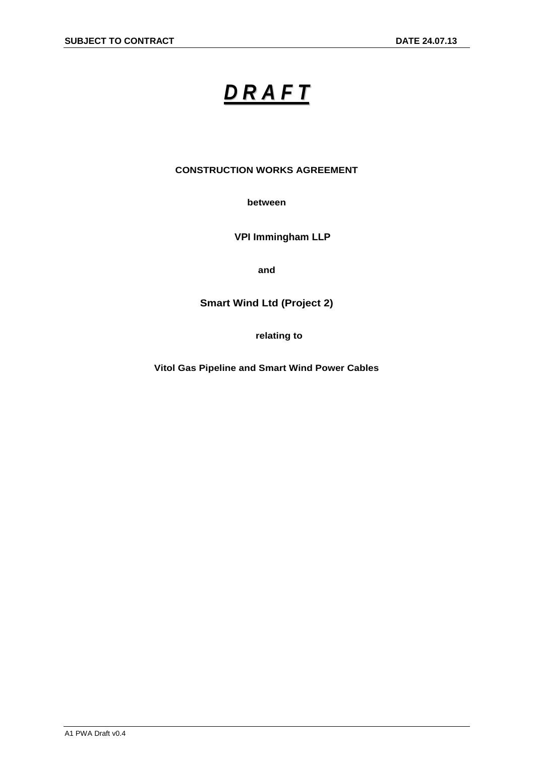# *D R A F T*

# **CONSTRUCTION WORKS AGREEMENT**

**between**

**VPI Immingham LLP**

**and**

**Smart Wind Ltd (Project 2)**

**relating to**

**Vitol Gas Pipeline and Smart Wind Power Cables**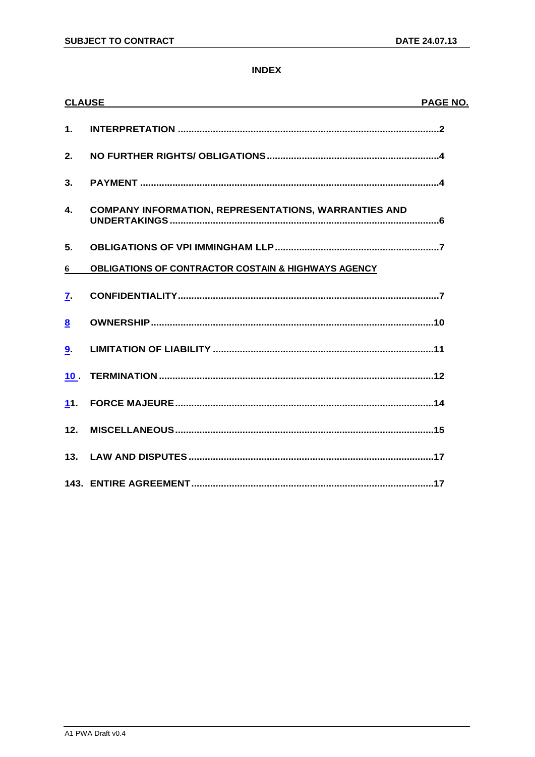# **INDEX**

| <b>CLAUSE</b> |                                                                | PAGE NO. |
|---------------|----------------------------------------------------------------|----------|
| 1.            |                                                                |          |
| 2.            |                                                                |          |
| 3.            |                                                                |          |
| 4.            | <b>COMPANY INFORMATION, REPRESENTATIONS, WARRANTIES AND</b>    |          |
| 5.            |                                                                |          |
| 6             | <b>OBLIGATIONS OF CONTRACTOR COSTAIN &amp; HIGHWAYS AGENCY</b> |          |
| 7.            |                                                                |          |
| 8             |                                                                |          |
| 9.            |                                                                |          |
| 10.           |                                                                |          |
| 11.           |                                                                |          |
| 12.           |                                                                |          |
| 13.           |                                                                |          |
|               |                                                                |          |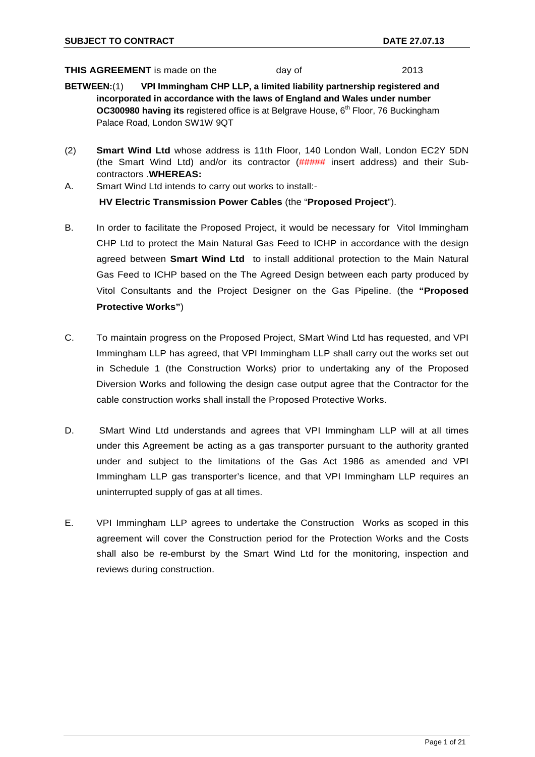#### **THIS AGREEMENT** is made on the day of 2013

- **BETWEEN:**(1) **VPI Immingham CHP LLP, a limited liability partnership registered and incorporated in accordance with the laws of England and Wales under number OC300980 having its** registered office is at Belgrave House, 6<sup>th</sup> Floor, 76 Buckingham Palace Road, London SW1W 9QT
- (2) **Smart Wind Ltd** whose address is 11th Floor, 140 London Wall, London EC2Y 5DN (the Smart Wind Ltd) and/or its contractor (##### insert address) and their Subcontractors .**WHEREAS:**
- A. Smart Wind Ltd intends to carry out works to install:- **HV Electric Transmission Power Cables** (the "**Proposed Project**").
- B. In order to facilitate the Proposed Project, it would be necessary for Vitol Immingham CHP Ltd to protect the Main Natural Gas Feed to ICHP in accordance with the design agreed between **Smart Wind Ltd** to install additional protection to the Main Natural Gas Feed to ICHP based on the The Agreed Design between each party produced by Vitol Consultants and the Project Designer on the Gas Pipeline. (the **"Proposed Protective Works"**)
- C. To maintain progress on the Proposed Project, SMart Wind Ltd has requested, and VPI Immingham LLP has agreed, that VPI Immingham LLP shall carry out the works set out in Schedule 1 (the Construction Works) prior to undertaking any of the Proposed Diversion Works and following the design case output agree that the Contractor for the cable construction works shall install the Proposed Protective Works.
- D. SMart Wind Ltd understands and agrees that VPI Immingham LLP will at all times under this Agreement be acting as a gas transporter pursuant to the authority granted under and subject to the limitations of the Gas Act 1986 as amended and VPI Immingham LLP gas transporter's licence, and that VPI Immingham LLP requires an uninterrupted supply of gas at all times.
- E. VPI Immingham LLP agrees to undertake the Construction Works as scoped in this agreement will cover the Construction period for the Protection Works and the Costs shall also be re-emburst by the Smart Wind Ltd for the monitoring, inspection and reviews during construction.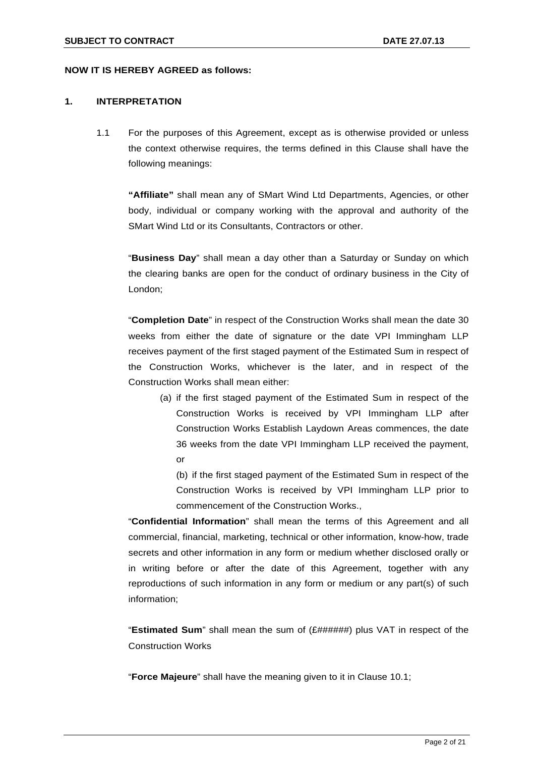#### **NOW IT IS HEREBY AGREED as follows:**

#### <span id="page-3-0"></span>**1. INTERPRETATION**

1.1 For the purposes of this Agreement, except as is otherwise provided or unless the context otherwise requires, the terms defined in this Clause shall have the following meanings:

**"Affiliate"** shall mean any of SMart Wind Ltd Departments, Agencies, or other body, individual or company working with the approval and authority of the SMart Wind Ltd or its Consultants, Contractors or other.

"**Business Day**" shall mean a day other than a Saturday or Sunday on which the clearing banks are open for the conduct of ordinary business in the City of London;

"**Completion Date**" in respect of the Construction Works shall mean the date 30 weeks from either the date of signature or the date VPI Immingham LLP receives payment of the first staged payment of the Estimated Sum in respect of the Construction Works, whichever is the later, and in respect of the Construction Works shall mean either:

(a) if the first staged payment of the Estimated Sum in respect of the Construction Works is received by VPI Immingham LLP after Construction Works Establish Laydown Areas commences, the date 36 weeks from the date VPI Immingham LLP received the payment, or

(b) if the first staged payment of the Estimated Sum in respect of the Construction Works is received by VPI Immingham LLP prior to commencement of the Construction Works.,

"**Confidential Information**" shall mean the terms of this Agreement and all commercial, financial, marketing, technical or other information, know-how, trade secrets and other information in any form or medium whether disclosed orally or in writing before or after the date of this Agreement, together with any reproductions of such information in any form or medium or any part(s) of such information;

"**Estimated Sum**" shall mean the sum of (£######) plus VAT in respect of the Construction Works

"**Force Majeure**" shall have the meaning given to it in Clause 10.1;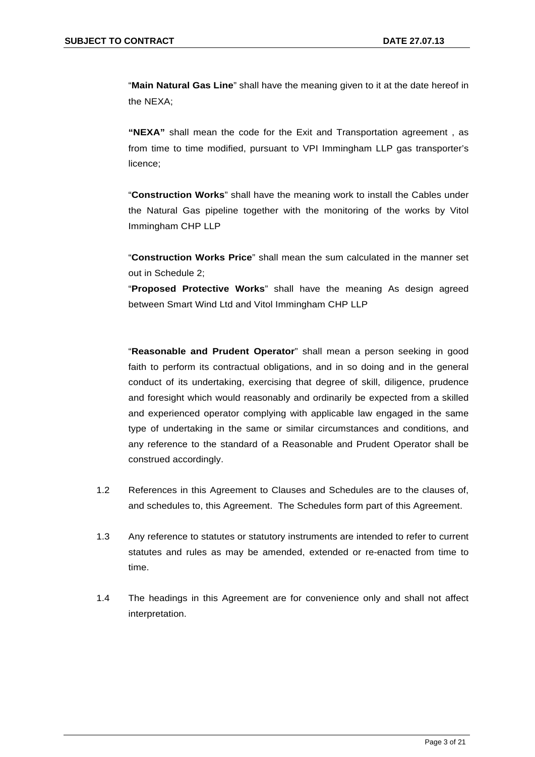"**Main Natural Gas Line**" shall have the meaning given to it at the date hereof in the NEXA;

**"NEXA"** shall mean the code for the Exit and Transportation agreement , as from time to time modified, pursuant to VPI Immingham LLP gas transporter's licence;

"**Construction Works**" shall have the meaning work to install the Cables under the Natural Gas pipeline together with the monitoring of the works by Vitol Immingham CHP LLP

"**Construction Works Price**" shall mean the sum calculated in the manner set out in Schedule 2;

"**Proposed Protective Works**" shall have the meaning As design agreed between Smart Wind Ltd and Vitol Immingham CHP LLP

"**Reasonable and Prudent Operator**" shall mean a person seeking in good faith to perform its contractual obligations, and in so doing and in the general conduct of its undertaking, exercising that degree of skill, diligence, prudence and foresight which would reasonably and ordinarily be expected from a skilled and experienced operator complying with applicable law engaged in the same type of undertaking in the same or similar circumstances and conditions, and any reference to the standard of a Reasonable and Prudent Operator shall be construed accordingly.

- 1.2 References in this Agreement to Clauses and Schedules are to the clauses of, and schedules to, this Agreement. The Schedules form part of this Agreement.
- 1.3 Any reference to statutes or statutory instruments are intended to refer to current statutes and rules as may be amended, extended or re-enacted from time to time.
- 1.4 The headings in this Agreement are for convenience only and shall not affect interpretation.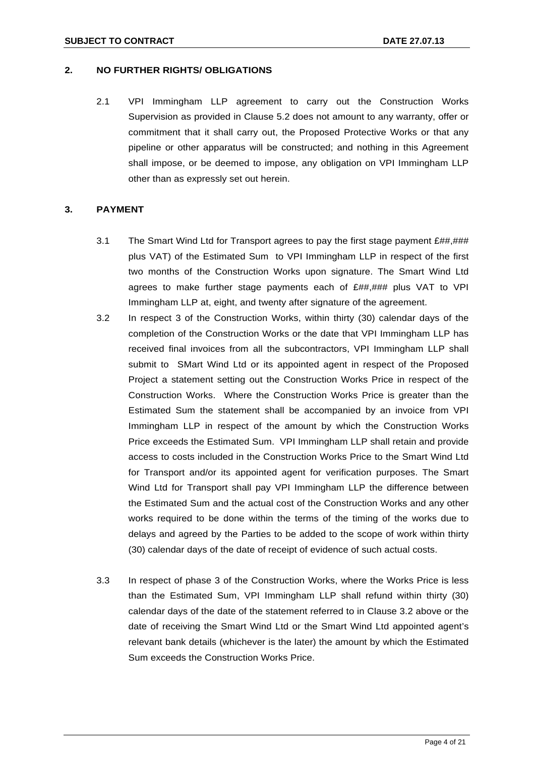#### <span id="page-5-0"></span>**2. NO FURTHER RIGHTS/ OBLIGATIONS**

2.1 VPI Immingham LLP agreement to carry out the Construction Works Supervision as provided in Clause 5.2 does not amount to any warranty, offer or commitment that it shall carry out, the Proposed Protective Works or that any pipeline or other apparatus will be constructed; and nothing in this Agreement shall impose, or be deemed to impose, any obligation on VPI Immingham LLP other than as expressly set out herein.

#### <span id="page-5-1"></span>**3. PAYMENT**

- 3.1 The Smart Wind Ltd for Transport agrees to pay the first stage payment £##,### plus VAT) of the Estimated Sum to VPI Immingham LLP in respect of the first two months of the Construction Works upon signature. The Smart Wind Ltd agrees to make further stage payments each of  $E\#4, \#4\#4$  plus VAT to VPI Immingham LLP at, eight, and twenty after signature of the agreement.
- 3.2 In respect 3 of the Construction Works, within thirty (30) calendar days of the completion of the Construction Works or the date that VPI Immingham LLP has received final invoices from all the subcontractors, VPI Immingham LLP shall submit to SMart Wind Ltd or its appointed agent in respect of the Proposed Project a statement setting out the Construction Works Price in respect of the Construction Works. Where the Construction Works Price is greater than the Estimated Sum the statement shall be accompanied by an invoice from VPI Immingham LLP in respect of the amount by which the Construction Works Price exceeds the Estimated Sum. VPI Immingham LLP shall retain and provide access to costs included in the Construction Works Price to the Smart Wind Ltd for Transport and/or its appointed agent for verification purposes. The Smart Wind Ltd for Transport shall pay VPI Immingham LLP the difference between the Estimated Sum and the actual cost of the Construction Works and any other works required to be done within the terms of the timing of the works due to delays and agreed by the Parties to be added to the scope of work within thirty (30) calendar days of the date of receipt of evidence of such actual costs.
- 3.3 In respect of phase 3 of the Construction Works, where the Works Price is less than the Estimated Sum, VPI Immingham LLP shall refund within thirty (30) calendar days of the date of the statement referred to in Clause 3.2 above or the date of receiving the Smart Wind Ltd or the Smart Wind Ltd appointed agent's relevant bank details (whichever is the later) the amount by which the Estimated Sum exceeds the Construction Works Price.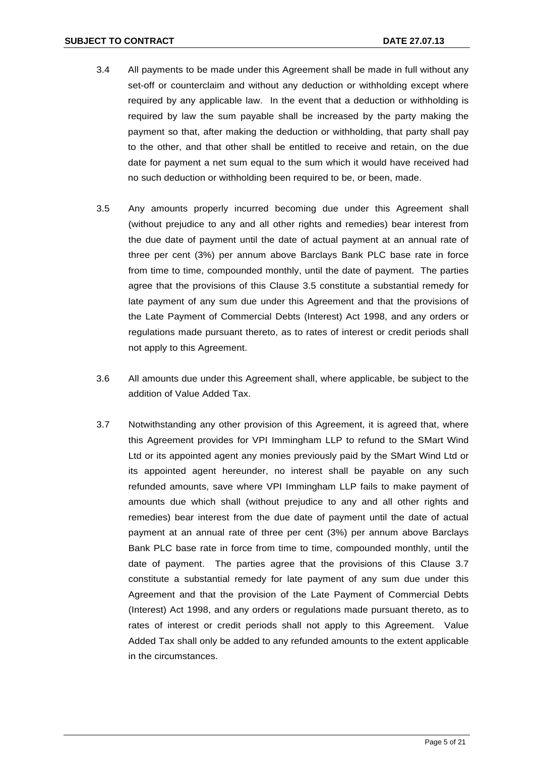- 3.4 All payments to be made under this Agreement shall be made in full without any set-off or counterclaim and without any deduction or withholding except where required by any applicable law. In the event that a deduction or withholding is required by law the sum payable shall be increased by the party making the payment so that, after making the deduction or withholding, that party shall pay to the other, and that other shall be entitled to receive and retain, on the due date for payment a net sum equal to the sum which it would have received had no such deduction or withholding been required to be, or been, made.
- 3.5 Any amounts properly incurred becoming due under this Agreement shall (without prejudice to any and all other rights and remedies) bear interest from the due date of payment until the date of actual payment at an annual rate of three per cent (3%) per annum above Barclays Bank PLC base rate in force from time to time, compounded monthly, until the date of payment. The parties agree that the provisions of this Clause 3.5 constitute a substantial remedy for late payment of any sum due under this Agreement and that the provisions of the Late Payment of Commercial Debts (Interest) Act 1998, and any orders or regulations made pursuant thereto, as to rates of interest or credit periods shall not apply to this Agreement.
- 3.6 All amounts due under this Agreement shall, where applicable, be subject to the addition of Value Added Tax.
- 3.7 Notwithstanding any other provision of this Agreement, it is agreed that, where this Agreement provides for VPI Immingham LLP to refund to the SMart Wind Ltd or its appointed agent any monies previously paid by the SMart Wind Ltd or its appointed agent hereunder, no interest shall be payable on any such refunded amounts, save where VPI Immingham LLP fails to make payment of amounts due which shall (without prejudice to any and all other rights and remedies) bear interest from the due date of payment until the date of actual payment at an annual rate of three per cent (3%) per annum above Barclays Bank PLC base rate in force from time to time, compounded monthly, until the date of payment. The parties agree that the provisions of this Clause 3.7 constitute a substantial remedy for late payment of any sum due under this Agreement and that the provision of the Late Payment of Commercial Debts (Interest) Act 1998, and any orders or regulations made pursuant thereto, as to rates of interest or credit periods shall not apply to this Agreement. Value Added Tax shall only be added to any refunded amounts to the extent applicable in the circumstances.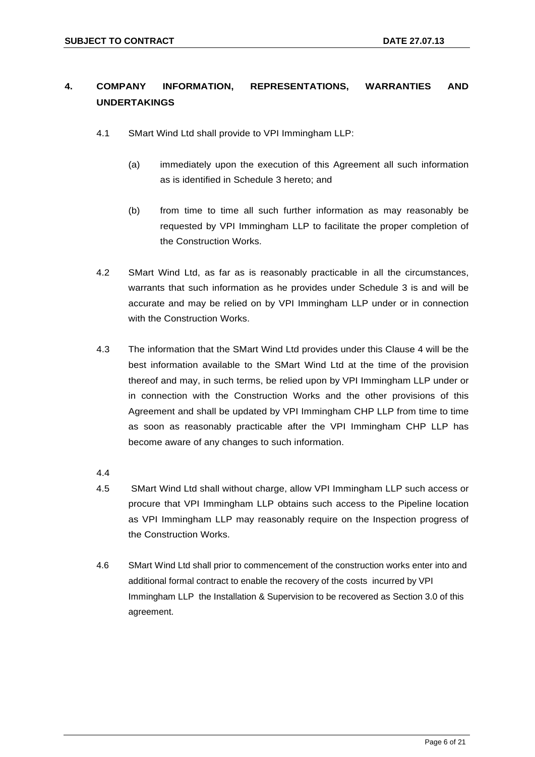# <span id="page-7-0"></span>**4. COMPANY INFORMATION, REPRESENTATIONS, WARRANTIES AND UNDERTAKINGS**

- 4.1 SMart Wind Ltd shall provide to VPI Immingham LLP:
	- (a) immediately upon the execution of this Agreement all such information as is identified in Schedule 3 hereto; and
	- (b) from time to time all such further information as may reasonably be requested by VPI Immingham LLP to facilitate the proper completion of the Construction Works.
- 4.2 SMart Wind Ltd, as far as is reasonably practicable in all the circumstances, warrants that such information as he provides under Schedule 3 is and will be accurate and may be relied on by VPI Immingham LLP under or in connection with the Construction Works.
- 4.3 The information that the SMart Wind Ltd provides under this Clause 4 will be the best information available to the SMart Wind Ltd at the time of the provision thereof and may, in such terms, be relied upon by VPI Immingham LLP under or in connection with the Construction Works and the other provisions of this Agreement and shall be updated by VPI Immingham CHP LLP from time to time as soon as reasonably practicable after the VPI Immingham CHP LLP has become aware of any changes to such information.

4.4

- 4.5 SMart Wind Ltd shall without charge, allow VPI Immingham LLP such access or procure that VPI Immingham LLP obtains such access to the Pipeline location as VPI Immingham LLP may reasonably require on the Inspection progress of the Construction Works.
- 4.6 SMart Wind Ltd shall prior to commencement of the construction works enter into and additional formal contract to enable the recovery of the costs incurred by VPI Immingham LLP the Installation & Supervision to be recovered as Section 3.0 of this agreement.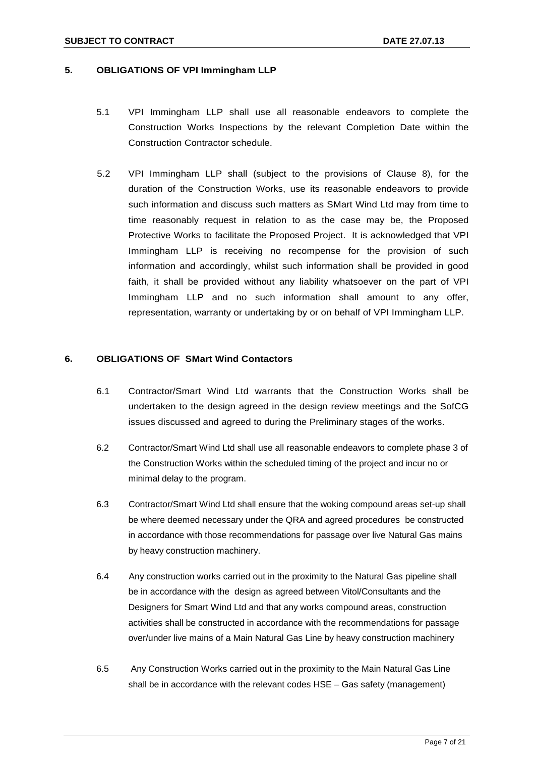#### <span id="page-8-0"></span>**5. OBLIGATIONS OF VPI Immingham LLP**

- 5.1 VPI Immingham LLP shall use all reasonable endeavors to complete the Construction Works Inspections by the relevant Completion Date within the Construction Contractor schedule.
- 5.2 VPI Immingham LLP shall (subject to the provisions of Clause 8), for the duration of the Construction Works, use its reasonable endeavors to provide such information and discuss such matters as SMart Wind Ltd may from time to time reasonably request in relation to as the case may be, the Proposed Protective Works to facilitate the Proposed Project. It is acknowledged that VPI Immingham LLP is receiving no recompense for the provision of such information and accordingly, whilst such information shall be provided in good faith, it shall be provided without any liability whatsoever on the part of VPI Immingham LLP and no such information shall amount to any offer, representation, warranty or undertaking by or on behalf of VPI Immingham LLP.

#### <span id="page-8-1"></span>**6. OBLIGATIONS OF SMart Wind Contactors**

- 6.1 Contractor/Smart Wind Ltd warrants that the Construction Works shall be undertaken to the design agreed in the design review meetings and the SofCG issues discussed and agreed to during the Preliminary stages of the works.
- 6.2 Contractor/Smart Wind Ltd shall use all reasonable endeavors to complete phase 3 of the Construction Works within the scheduled timing of the project and incur no or minimal delay to the program.
- 6.3 Contractor/Smart Wind Ltd shall ensure that the woking compound areas set-up shall be where deemed necessary under the QRA and agreed procedures be constructed in accordance with those recommendations for passage over live Natural Gas mains by heavy construction machinery.
- 6.4 Any construction works carried out in the proximity to the Natural Gas pipeline shall be in accordance with the design as agreed between Vitol/Consultants and the Designers for Smart Wind Ltd and that any works compound areas, construction activities shall be constructed in accordance with the recommendations for passage over/under live mains of a Main Natural Gas Line by heavy construction machinery
- 6.5 Any Construction Works carried out in the proximity to the Main Natural Gas Line shall be in accordance with the relevant codes HSE – Gas safety (management)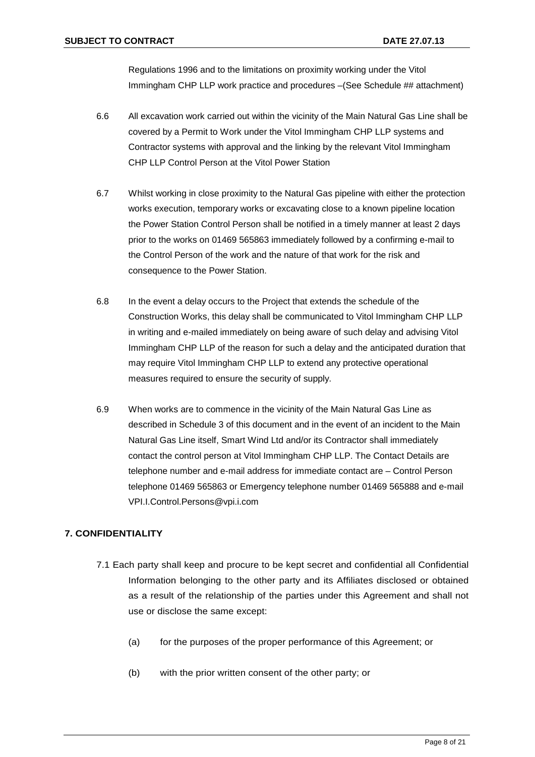Regulations 1996 and to the limitations on proximity working under the Vitol Immingham CHP LLP work practice and procedures –(See Schedule ## attachment)

- 6.6 All excavation work carried out within the vicinity of the Main Natural Gas Line shall be covered by a Permit to Work under the Vitol Immingham CHP LLP systems and Contractor systems with approval and the linking by the relevant Vitol Immingham CHP LLP Control Person at the Vitol Power Station
- 6.7 Whilst working in close proximity to the Natural Gas pipeline with either the protection works execution, temporary works or excavating close to a known pipeline location the Power Station Control Person shall be notified in a timely manner at least 2 days prior to the works on 01469 565863 immediately followed by a confirming e-mail to the Control Person of the work and the nature of that work for the risk and consequence to the Power Station.
- 6.8 In the event a delay occurs to the Project that extends the schedule of the Construction Works, this delay shall be communicated to Vitol Immingham CHP LLP in writing and e-mailed immediately on being aware of such delay and advising Vitol Immingham CHP LLP of the reason for such a delay and the anticipated duration that may require Vitol Immingham CHP LLP to extend any protective operational measures required to ensure the security of supply.
- 6.9 When works are to commence in the vicinity of the Main Natural Gas Line as described in Schedule 3 of this document and in the event of an incident to the Main Natural Gas Line itself, Smart Wind Ltd and/or its Contractor shall immediately contact the control person at Vitol Immingham CHP LLP. The Contact Details are telephone number and e-mail address for immediate contact are – Control Person telephone 01469 565863 or Emergency telephone number 01469 565888 and e-mail VPI.I.Control.Persons@vpi.i.com

# **7. CONFIDENTIALITY**

- 7.1 Each party shall keep and procure to be kept secret and confidential all Confidential Information belonging to the other party and its Affiliates disclosed or obtained as a result of the relationship of the parties under this Agreement and shall not use or disclose the same except:
	- (a) for the purposes of the proper performance of this Agreement; or
	- (b) with the prior written consent of the other party; or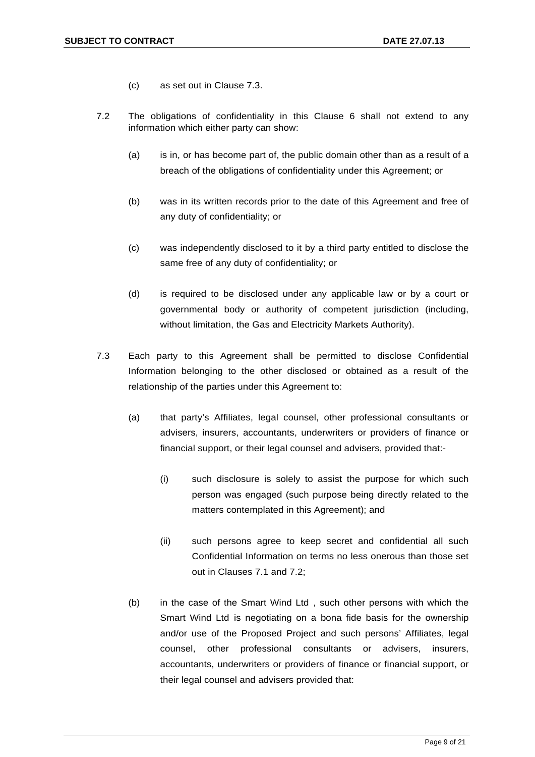- (c) as set out in Clause 7.3.
- 7.2 The obligations of confidentiality in this Clause 6 shall not extend to any information which either party can show:
	- (a) is in, or has become part of, the public domain other than as a result of a breach of the obligations of confidentiality under this Agreement; or
	- (b) was in its written records prior to the date of this Agreement and free of any duty of confidentiality; or
	- (c) was independently disclosed to it by a third party entitled to disclose the same free of any duty of confidentiality; or
	- (d) is required to be disclosed under any applicable law or by a court or governmental body or authority of competent jurisdiction (including, without limitation, the Gas and Electricity Markets Authority).
- 7.3 Each party to this Agreement shall be permitted to disclose Confidential Information belonging to the other disclosed or obtained as a result of the relationship of the parties under this Agreement to:
	- (a) that party's Affiliates, legal counsel, other professional consultants or advisers, insurers, accountants, underwriters or providers of finance or financial support, or their legal counsel and advisers, provided that:-
		- (i) such disclosure is solely to assist the purpose for which such person was engaged (such purpose being directly related to the matters contemplated in this Agreement); and
		- (ii) such persons agree to keep secret and confidential all such Confidential Information on terms no less onerous than those set out in Clauses 7.1 and 7.2;
	- (b) in the case of the Smart Wind Ltd , such other persons with which the Smart Wind Ltd is negotiating on a bona fide basis for the ownership and/or use of the Proposed Project and such persons' Affiliates, legal counsel, other professional consultants or advisers, insurers, accountants, underwriters or providers of finance or financial support, or their legal counsel and advisers provided that: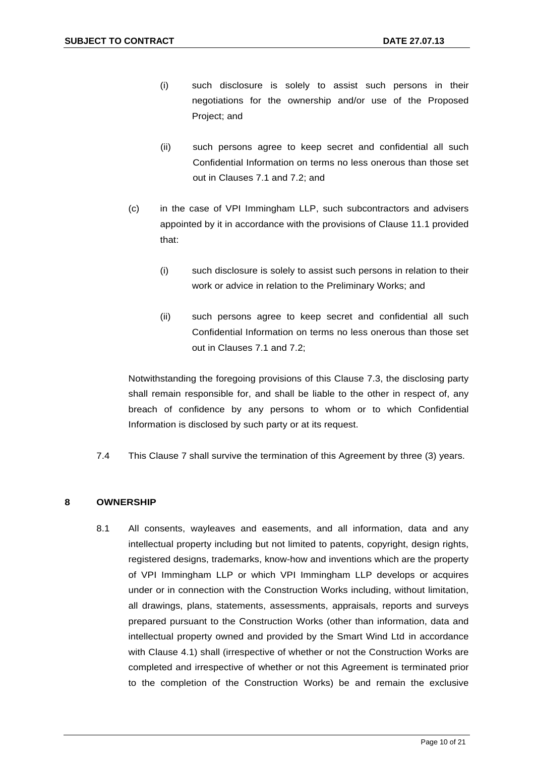- (i) such disclosure is solely to assist such persons in their negotiations for the ownership and/or use of the Proposed Project; and
- (ii) such persons agree to keep secret and confidential all such Confidential Information on terms no less onerous than those set out in Clauses 7.1 and 7.2; and
- (c) in the case of VPI Immingham LLP, such subcontractors and advisers appointed by it in accordance with the provisions of Clause 11.1 provided that:
	- (i) such disclosure is solely to assist such persons in relation to their work or advice in relation to the Preliminary Works; and
	- (ii) such persons agree to keep secret and confidential all such Confidential Information on terms no less onerous than those set out in Clauses 7.1 and 7.2;

Notwithstanding the foregoing provisions of this Clause 7.3, the disclosing party shall remain responsible for, and shall be liable to the other in respect of, any breach of confidence by any persons to whom or to which Confidential Information is disclosed by such party or at its request.

7.4 This Clause 7 shall survive the termination of this Agreement by three (3) years.

#### <span id="page-11-0"></span>**8 OWNERSHIP**

8.1 All consents, wayleaves and easements, and all information, data and any intellectual property including but not limited to patents, copyright, design rights, registered designs, trademarks, know-how and inventions which are the property of VPI Immingham LLP or which VPI Immingham LLP develops or acquires under or in connection with the Construction Works including, without limitation, all drawings, plans, statements, assessments, appraisals, reports and surveys prepared pursuant to the Construction Works (other than information, data and intellectual property owned and provided by the Smart Wind Ltd in accordance with Clause 4.1) shall (irrespective of whether or not the Construction Works are completed and irrespective of whether or not this Agreement is terminated prior to the completion of the Construction Works) be and remain the exclusive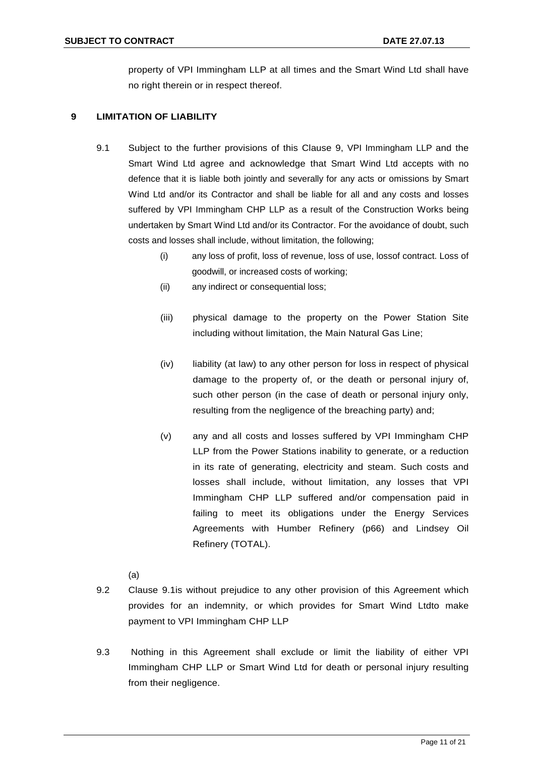property of VPI Immingham LLP at all times and the Smart Wind Ltd shall have no right therein or in respect thereof.

# <span id="page-12-0"></span>**9 LIMITATION OF LIABILITY**

- 9.1 Subject to the further provisions of this Clause 9, VPI Immingham LLP and the Smart Wind Ltd agree and acknowledge that Smart Wind Ltd accepts with no defence that it is liable both jointly and severally for any acts or omissions by Smart Wind Ltd and/or its Contractor and shall be liable for all and any costs and losses suffered by VPI Immingham CHP LLP as a result of the Construction Works being undertaken by Smart Wind Ltd and/or its Contractor. For the avoidance of doubt, such costs and losses shall include, without limitation, the following;
	- (i) any loss of profit, loss of revenue, loss of use, lossof contract. Loss of goodwill, or increased costs of working;
	- (ii) any indirect or consequential loss;
	- (iii) physical damage to the property on the Power Station Site including without limitation, the Main Natural Gas Line;
	- (iv) liability (at law) to any other person for loss in respect of physical damage to the property of, or the death or personal injury of, such other person (in the case of death or personal injury only, resulting from the negligence of the breaching party) and;
	- (v) any and all costs and losses suffered by VPI Immingham CHP LLP from the Power Stations inability to generate, or a reduction in its rate of generating, electricity and steam. Such costs and losses shall include, without limitation, any losses that VPI Immingham CHP LLP suffered and/or compensation paid in failing to meet its obligations under the Energy Services Agreements with Humber Refinery (p66) and Lindsey Oil Refinery (TOTAL).
	- (a)
- 9.2 Clause 9.1is without prejudice to any other provision of this Agreement which provides for an indemnity, or which provides for Smart Wind Ltdto make payment to VPI Immingham CHP LLP
- 9.3 Nothing in this Agreement shall exclude or limit the liability of either VPI Immingham CHP LLP or Smart Wind Ltd for death or personal injury resulting from their negligence.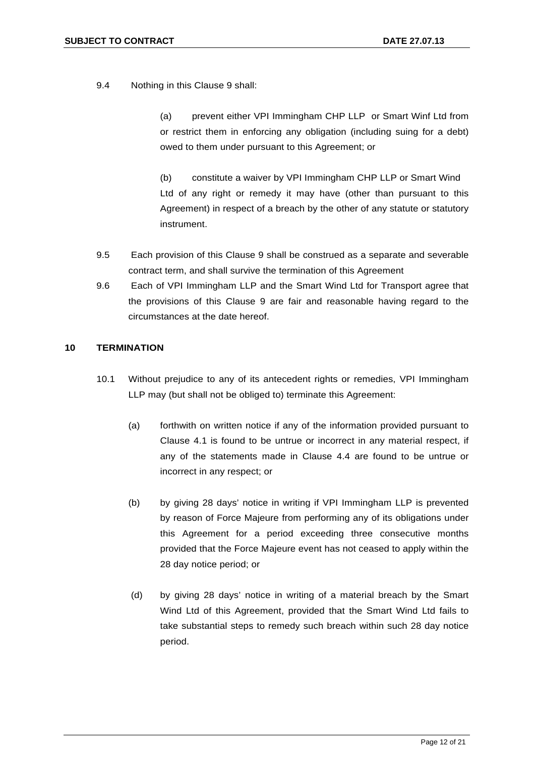9.4 Nothing in this Clause 9 shall:

(a) prevent either VPI Immingham CHP LLP or Smart Winf Ltd from or restrict them in enforcing any obligation (including suing for a debt) owed to them under pursuant to this Agreement; or

(b) constitute a waiver by VPI Immingham CHP LLP or Smart Wind Ltd of any right or remedy it may have (other than pursuant to this Agreement) in respect of a breach by the other of any statute or statutory instrument.

- 9.5 Each provision of this Clause 9 shall be construed as a separate and severable contract term, and shall survive the termination of this Agreement
- 9.6 Each of VPI Immingham LLP and the Smart Wind Ltd for Transport agree that the provisions of this Clause 9 are fair and reasonable having regard to the circumstances at the date hereof.

#### <span id="page-13-0"></span>**10 TERMINATION**

- 10.1 Without prejudice to any of its antecedent rights or remedies, VPI Immingham LLP may (but shall not be obliged to) terminate this Agreement:
	- (a) forthwith on written notice if any of the information provided pursuant to Clause 4.1 is found to be untrue or incorrect in any material respect, if any of the statements made in Clause 4.4 are found to be untrue or incorrect in any respect; or
	- (b) by giving 28 days' notice in writing if VPI Immingham LLP is prevented by reason of Force Majeure from performing any of its obligations under this Agreement for a period exceeding three consecutive months provided that the Force Majeure event has not ceased to apply within the 28 day notice period; or
	- (d) by giving 28 days' notice in writing of a material breach by the Smart Wind Ltd of this Agreement, provided that the Smart Wind Ltd fails to take substantial steps to remedy such breach within such 28 day notice period.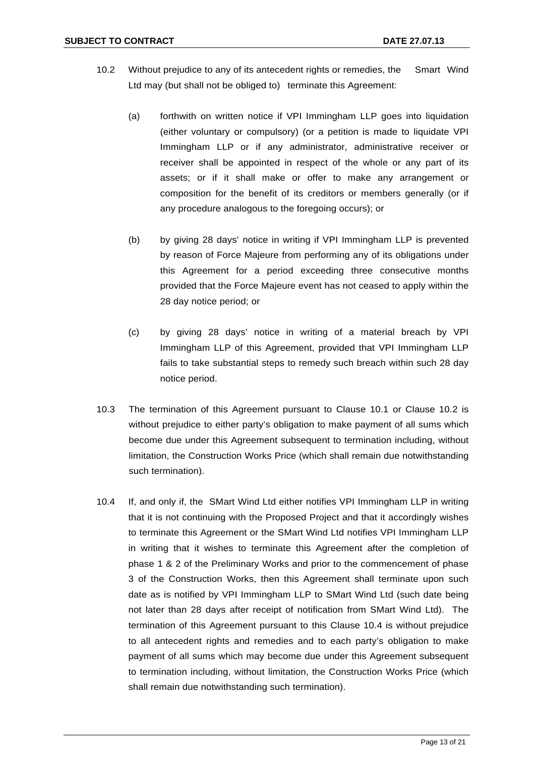- 10.2 Without prejudice to any of its antecedent rights or remedies, the Smart Wind Ltd may (but shall not be obliged to) terminate this Agreement:
	- (a) forthwith on written notice if VPI Immingham LLP goes into liquidation (either voluntary or compulsory) (or a petition is made to liquidate VPI Immingham LLP or if any administrator, administrative receiver or receiver shall be appointed in respect of the whole or any part of its assets; or if it shall make or offer to make any arrangement or composition for the benefit of its creditors or members generally (or if any procedure analogous to the foregoing occurs); or
	- (b) by giving 28 days' notice in writing if VPI Immingham LLP is prevented by reason of Force Majeure from performing any of its obligations under this Agreement for a period exceeding three consecutive months provided that the Force Majeure event has not ceased to apply within the 28 day notice period; or
	- (c) by giving 28 days' notice in writing of a material breach by VPI Immingham LLP of this Agreement, provided that VPI Immingham LLP fails to take substantial steps to remedy such breach within such 28 day notice period.
- 10.3 The termination of this Agreement pursuant to Clause 10.1 or Clause 10.2 is without prejudice to either party's obligation to make payment of all sums which become due under this Agreement subsequent to termination including, without limitation, the Construction Works Price (which shall remain due notwithstanding such termination).
- 10.4 If, and only if, the SMart Wind Ltd either notifies VPI Immingham LLP in writing that it is not continuing with the Proposed Project and that it accordingly wishes to terminate this Agreement or the SMart Wind Ltd notifies VPI Immingham LLP in writing that it wishes to terminate this Agreement after the completion of phase 1 & 2 of the Preliminary Works and prior to the commencement of phase 3 of the Construction Works, then this Agreement shall terminate upon such date as is notified by VPI Immingham LLP to SMart Wind Ltd (such date being not later than 28 days after receipt of notification from SMart Wind Ltd). The termination of this Agreement pursuant to this Clause 10.4 is without prejudice to all antecedent rights and remedies and to each party's obligation to make payment of all sums which may become due under this Agreement subsequent to termination including, without limitation, the Construction Works Price (which shall remain due notwithstanding such termination).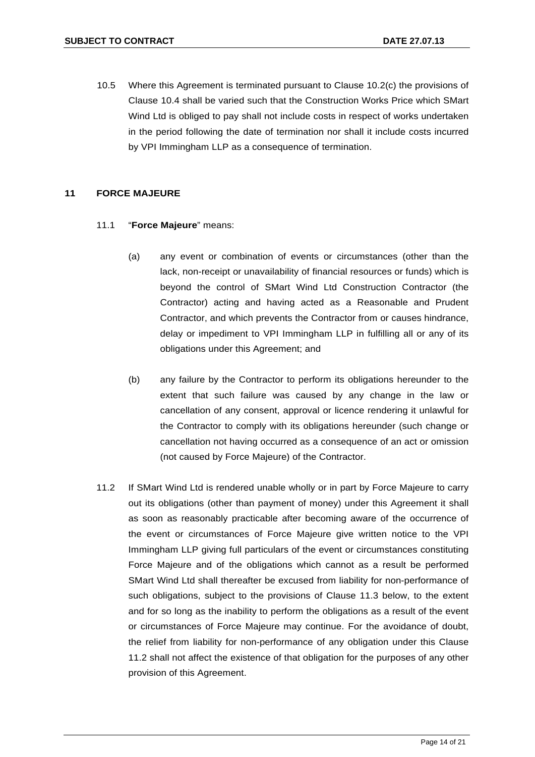10.5 Where this Agreement is terminated pursuant to Clause 10.2(c) the provisions of Clause 10.4 shall be varied such that the Construction Works Price which SMart Wind Ltd is obliged to pay shall not include costs in respect of works undertaken in the period following the date of termination nor shall it include costs incurred by VPI Immingham LLP as a consequence of termination.

#### <span id="page-15-0"></span>**11 FORCE MAJEURE**

- 11.1 "**Force Majeure**" means:
	- (a) any event or combination of events or circumstances (other than the lack, non-receipt or unavailability of financial resources or funds) which is beyond the control of SMart Wind Ltd Construction Contractor (the Contractor) acting and having acted as a Reasonable and Prudent Contractor, and which prevents the Contractor from or causes hindrance, delay or impediment to VPI Immingham LLP in fulfilling all or any of its obligations under this Agreement; and
	- (b) any failure by the Contractor to perform its obligations hereunder to the extent that such failure was caused by any change in the law or cancellation of any consent, approval or licence rendering it unlawful for the Contractor to comply with its obligations hereunder (such change or cancellation not having occurred as a consequence of an act or omission (not caused by Force Majeure) of the Contractor.
- 11.2 If SMart Wind Ltd is rendered unable wholly or in part by Force Majeure to carry out its obligations (other than payment of money) under this Agreement it shall as soon as reasonably practicable after becoming aware of the occurrence of the event or circumstances of Force Majeure give written notice to the VPI Immingham LLP giving full particulars of the event or circumstances constituting Force Majeure and of the obligations which cannot as a result be performed SMart Wind Ltd shall thereafter be excused from liability for non-performance of such obligations, subject to the provisions of Clause 11.3 below, to the extent and for so long as the inability to perform the obligations as a result of the event or circumstances of Force Majeure may continue. For the avoidance of doubt, the relief from liability for non-performance of any obligation under this Clause 11.2 shall not affect the existence of that obligation for the purposes of any other provision of this Agreement.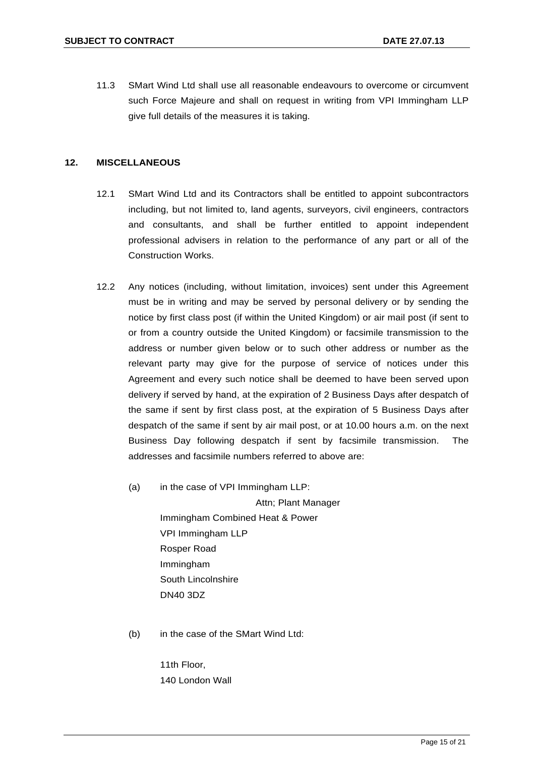11.3 SMart Wind Ltd shall use all reasonable endeavours to overcome or circumvent such Force Majeure and shall on request in writing from VPI Immingham LLP give full details of the measures it is taking.

#### <span id="page-16-0"></span>**12. MISCELLANEOUS**

- 12.1 SMart Wind Ltd and its Contractors shall be entitled to appoint subcontractors including, but not limited to, land agents, surveyors, civil engineers, contractors and consultants, and shall be further entitled to appoint independent professional advisers in relation to the performance of any part or all of the Construction Works.
- 12.2 Any notices (including, without limitation, invoices) sent under this Agreement must be in writing and may be served by personal delivery or by sending the notice by first class post (if within the United Kingdom) or air mail post (if sent to or from a country outside the United Kingdom) or facsimile transmission to the address or number given below or to such other address or number as the relevant party may give for the purpose of service of notices under this Agreement and every such notice shall be deemed to have been served upon delivery if served by hand, at the expiration of 2 Business Days after despatch of the same if sent by first class post, at the expiration of 5 Business Days after despatch of the same if sent by air mail post, or at 10.00 hours a.m. on the next Business Day following despatch if sent by facsimile transmission. The addresses and facsimile numbers referred to above are:
	- (a) in the case of VPI Immingham LLP:

Attn; Plant Manager Immingham Combined Heat & Power VPI Immingham LLP Rosper Road Immingham South Lincolnshire DN40 3DZ

(b) in the case of the SMart Wind Ltd:

11th Floor, 140 London Wall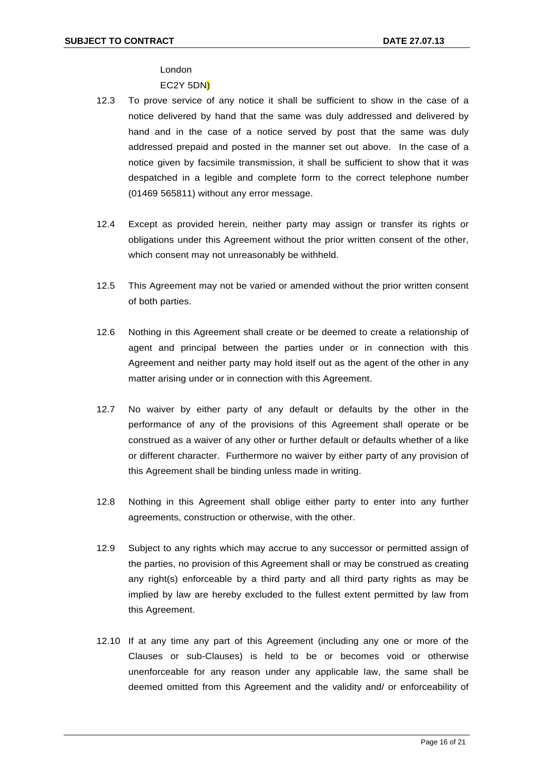London EC2Y 5DN)

- 12.3 To prove service of any notice it shall be sufficient to show in the case of a notice delivered by hand that the same was duly addressed and delivered by hand and in the case of a notice served by post that the same was duly addressed prepaid and posted in the manner set out above. In the case of a notice given by facsimile transmission, it shall be sufficient to show that it was despatched in a legible and complete form to the correct telephone number (01469 565811) without any error message.
- 12.4 Except as provided herein, neither party may assign or transfer its rights or obligations under this Agreement without the prior written consent of the other, which consent may not unreasonably be withheld.
- 12.5 This Agreement may not be varied or amended without the prior written consent of both parties.
- 12.6 Nothing in this Agreement shall create or be deemed to create a relationship of agent and principal between the parties under or in connection with this Agreement and neither party may hold itself out as the agent of the other in any matter arising under or in connection with this Agreement.
- 12.7 No waiver by either party of any default or defaults by the other in the performance of any of the provisions of this Agreement shall operate or be construed as a waiver of any other or further default or defaults whether of a like or different character. Furthermore no waiver by either party of any provision of this Agreement shall be binding unless made in writing.
- 12.8 Nothing in this Agreement shall oblige either party to enter into any further agreements, construction or otherwise, with the other.
- 12.9 Subject to any rights which may accrue to any successor or permitted assign of the parties, no provision of this Agreement shall or may be construed as creating any right(s) enforceable by a third party and all third party rights as may be implied by law are hereby excluded to the fullest extent permitted by law from this Agreement.
- 12.10 If at any time any part of this Agreement (including any one or more of the Clauses or sub-Clauses) is held to be or becomes void or otherwise unenforceable for any reason under any applicable law, the same shall be deemed omitted from this Agreement and the validity and/ or enforceability of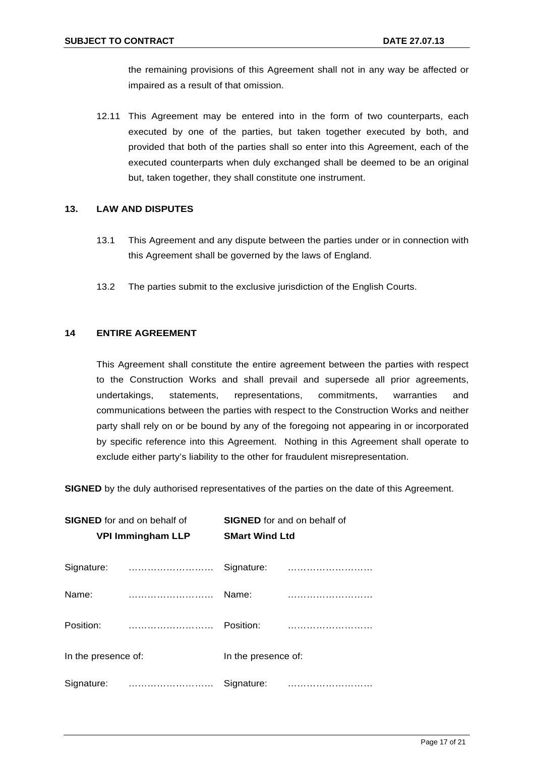the remaining provisions of this Agreement shall not in any way be affected or impaired as a result of that omission.

12.11 This Agreement may be entered into in the form of two counterparts, each executed by one of the parties, but taken together executed by both, and provided that both of the parties shall so enter into this Agreement, each of the executed counterparts when duly exchanged shall be deemed to be an original but, taken together, they shall constitute one instrument.

#### <span id="page-18-0"></span>**13. LAW AND DISPUTES**

- 13.1 This Agreement and any dispute between the parties under or in connection with this Agreement shall be governed by the laws of England.
- 13.2 The parties submit to the exclusive jurisdiction of the English Courts.

#### <span id="page-18-1"></span>**14 ENTIRE AGREEMENT**

This Agreement shall constitute the entire agreement between the parties with respect to the Construction Works and shall prevail and supersede all prior agreements, undertakings, statements, representations, commitments, warranties and communications between the parties with respect to the Construction Works and neither party shall rely on or be bound by any of the foregoing not appearing in or incorporated by specific reference into this Agreement. Nothing in this Agreement shall operate to exclude either party's liability to the other for fraudulent misrepresentation.

**SIGNED** by the duly authorised representatives of the parties on the date of this Agreement.

|                     | <b>SIGNED</b> for and on behalf of | <b>SIGNED</b> for and on behalf of |  |
|---------------------|------------------------------------|------------------------------------|--|
|                     | <b>VPI Immingham LLP</b>           | <b>SMart Wind Ltd</b>              |  |
|                     | Signature:                         |                                    |  |
| Name:               |                                    | Name:                              |  |
| Position:           |                                    | Position:                          |  |
| In the presence of: |                                    | In the presence of:                |  |
|                     | Signature:                         |                                    |  |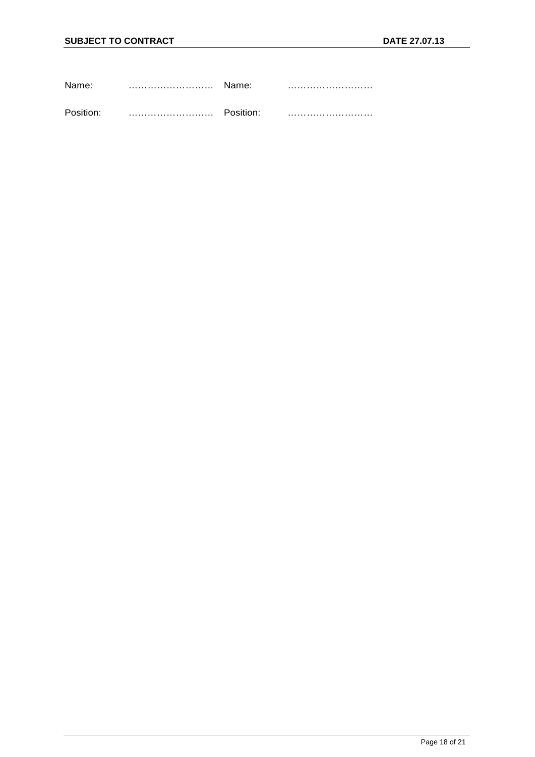| Name:     | Name:     |  |
|-----------|-----------|--|
| Position: | Position: |  |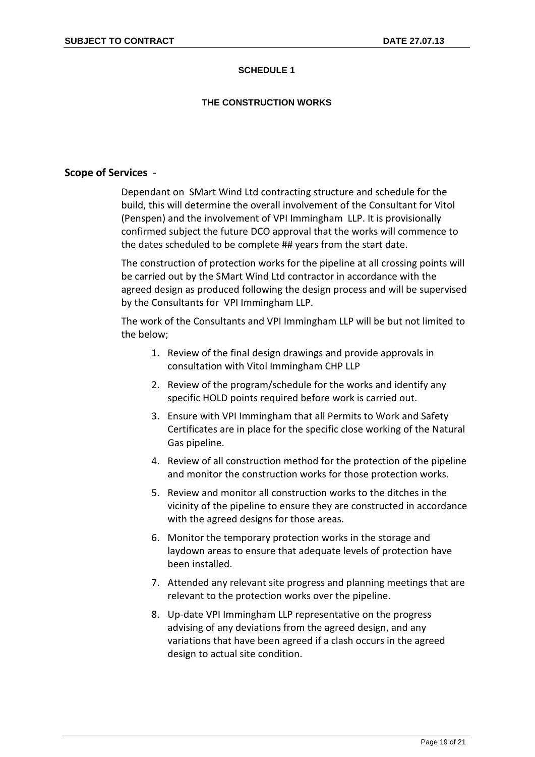#### **THE CONSTRUCTION WORKS**

## **Scope of Services** -

Dependant on SMart Wind Ltd contracting structure and schedule for the build, this will determine the overall involvement of the Consultant for Vitol (Penspen) and the involvement of VPI Immingham LLP. It is provisionally confirmed subject the future DCO approval that the works will commence to the dates scheduled to be complete ## years from the start date.

The construction of protection works for the pipeline at all crossing points will be carried out by the SMart Wind Ltd contractor in accordance with the agreed design as produced following the design process and will be supervised by the Consultants for VPI Immingham LLP.

The work of the Consultants and VPI Immingham LLP will be but not limited to the below;

- 1. Review of the final design drawings and provide approvals in consultation with Vitol Immingham CHP LLP
- 2. Review of the program/schedule for the works and identify any specific HOLD points required before work is carried out.
- 3. Ensure with VPI Immingham that all Permits to Work and Safety Certificates are in place for the specific close working of the Natural Gas pipeline.
- 4. Review of all construction method for the protection of the pipeline and monitor the construction works for those protection works.
- 5. Review and monitor all construction works to the ditches in the vicinity of the pipeline to ensure they are constructed in accordance with the agreed designs for those areas.
- 6. Monitor the temporary protection works in the storage and laydown areas to ensure that adequate levels of protection have been installed.
- 7. Attended any relevant site progress and planning meetings that are relevant to the protection works over the pipeline.
- 8. Up-date VPI Immingham LLP representative on the progress advising of any deviations from the agreed design, and any variations that have been agreed if a clash occurs in the agreed design to actual site condition.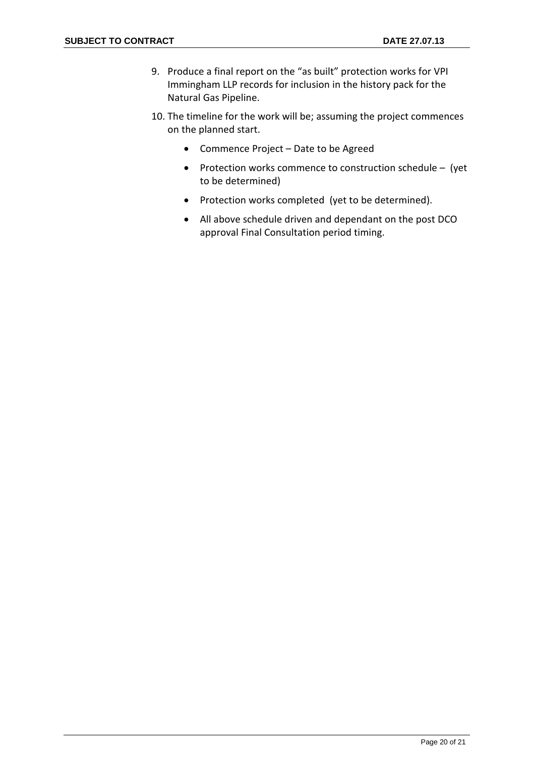- 9. Produce a final report on the "as built" protection works for VPI Immingham LLP records for inclusion in the history pack for the Natural Gas Pipeline.
- 10. The timeline for the work will be; assuming the project commences on the planned start.
	- Commence Project Date to be Agreed
	- Protection works commence to construction schedule (yet to be determined)
	- Protection works completed (yet to be determined).
	- All above schedule driven and dependant on the post DCO approval Final Consultation period timing.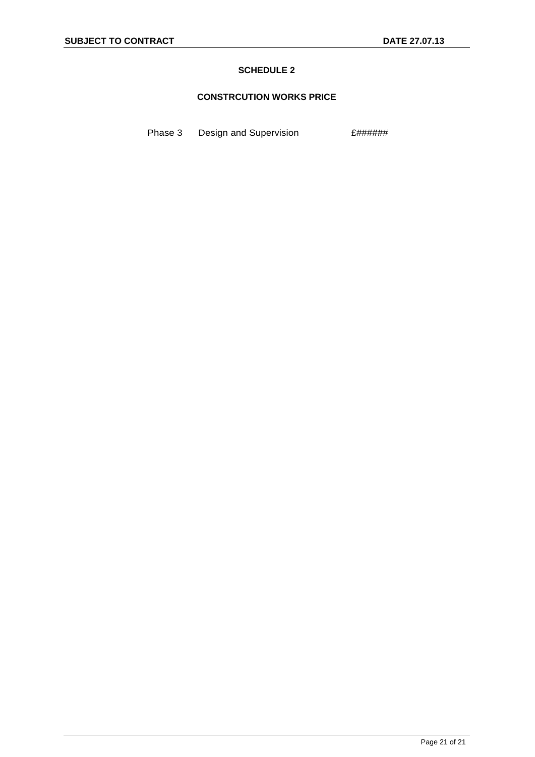# **CONSTRCUTION WORKS PRICE**

Phase 3 Design and Supervision £######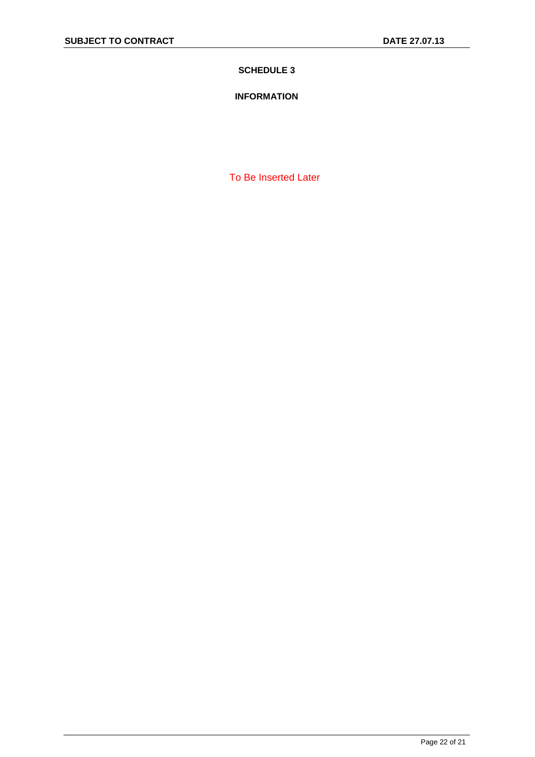# **INFORMATION**

To Be Inserted Later